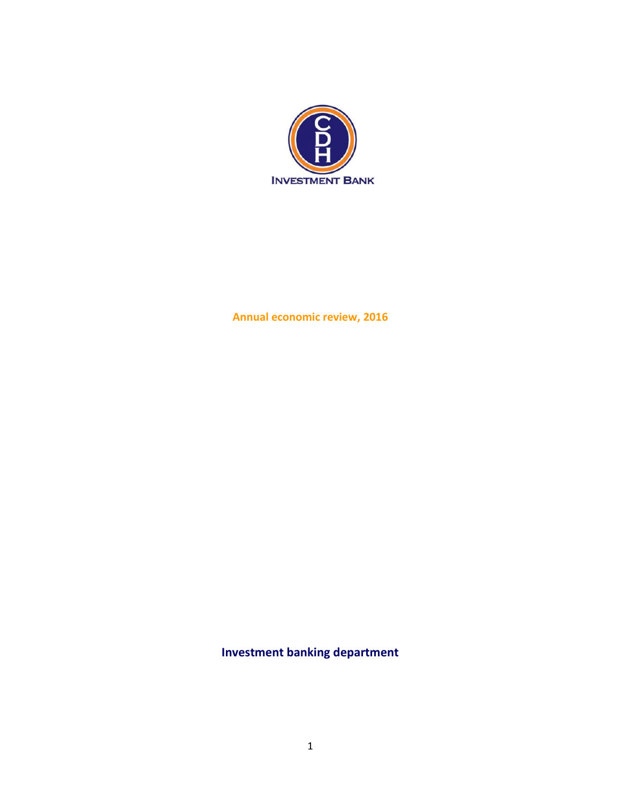

**Annual economic review, 2016** 

**Investment banking department**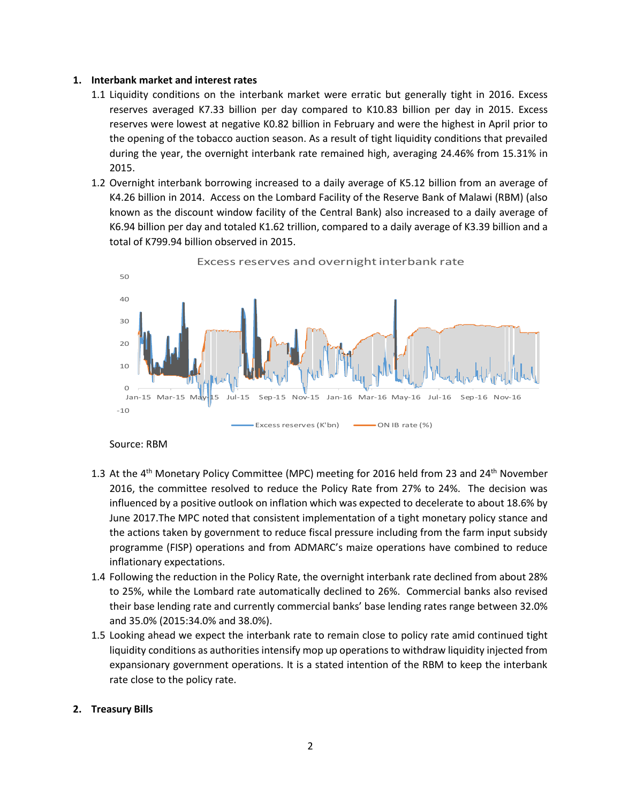## **1. Interbank market and interest rates**

- 1.1 Liquidity conditions on the interbank market were erratic but generally tight in 2016. Excess reserves averaged K7.33 billion per day compared to K10.83 billion per day in 2015. Excess reserves were lowest at negative K0.82 billion in February and were the highest in April prior to the opening of the tobacco auction season. As a result of tight liquidity conditions that prevailed during the year, the overnight interbank rate remained high, averaging 24.46% from 15.31% in 2015.
- 1.2 Overnight interbank borrowing increased to a daily average of K5.12 billion from an average of K4.26 billion in 2014. Access on the Lombard Facility of the Reserve Bank of Malawi (RBM) (also known as the discount window facility of the Central Bank) also increased to a daily average of K6.94 billion per day and totaled K1.62 trillion, compared to a daily average of K3.39 billion and a total of K799.94 billion observed in 2015.



Excess reserves and overnight interbank rate

Source: RBM

- 1.3 At the 4<sup>th</sup> Monetary Policy Committee (MPC) meeting for 2016 held from 23 and 24<sup>th</sup> November 2016, the committee resolved to reduce the Policy Rate from 27% to 24%. The decision was influenced by a positive outlook on inflation which was expected to decelerate to about 18.6% by June 2017.The MPC noted that consistent implementation of a tight monetary policy stance and the actions taken by government to reduce fiscal pressure including from the farm input subsidy programme (FISP) operations and from ADMARC's maize operations have combined to reduce inflationary expectations.
- 1.4 Following the reduction in the Policy Rate, the overnight interbank rate declined from about 28% to 25%, while the Lombard rate automatically declined to 26%. Commercial banks also revised their base lending rate and currently commercial banks' base lending rates range between 32.0% and 35.0% (2015:34.0% and 38.0%).
- 1.5 Looking ahead we expect the interbank rate to remain close to policy rate amid continued tight liquidity conditions as authorities intensify mop up operations to withdraw liquidity injected from expansionary government operations. It is a stated intention of the RBM to keep the interbank rate close to the policy rate.

# **2. Treasury Bills**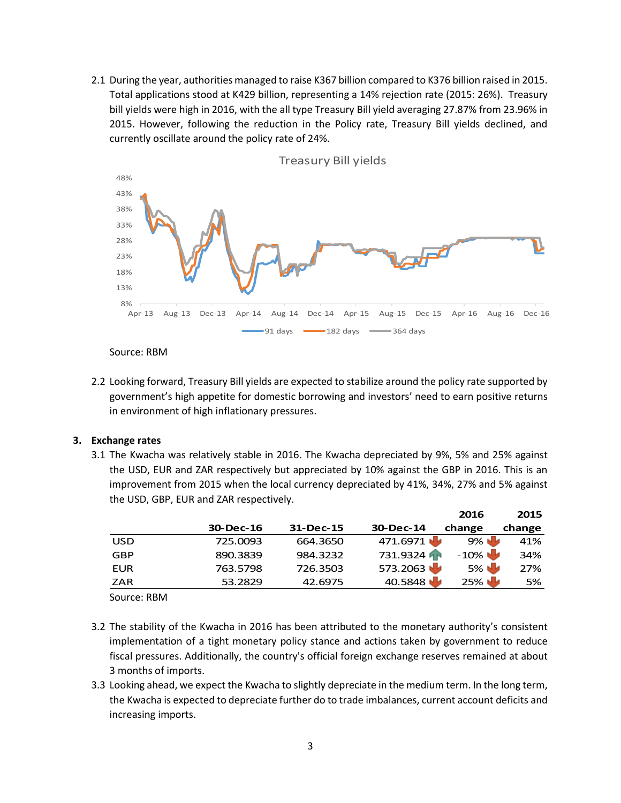2.1 During the year, authorities managed to raise K367 billion compared to K376 billion raised in 2015. Total applications stood at K429 billion, representing a 14% rejection rate (2015: 26%). Treasury bill yields were high in 2016, with the all type Treasury Bill yield averaging 27.87% from 23.96% in 2015. However, following the reduction in the Policy rate, Treasury Bill yields declined, and currently oscillate around the policy rate of 24%.



Source: RBM

2.2 Looking forward, Treasury Bill yields are expected to stabilize around the policy rate supported by government's high appetite for domestic borrowing and investors' need to earn positive returns in environment of high inflationary pressures.

# **3. Exchange rates**

3.1 The Kwacha was relatively stable in 2016. The Kwacha depreciated by 9%, 5% and 25% against the USD, EUR and ZAR respectively but appreciated by 10% against the GBP in 2016. This is an improvement from 2015 when the local currency depreciated by 41%, 34%, 27% and 5% against the USD, GBP, EUR and ZAR respectively.

|            |           |           |           | 2016    | 2015   |
|------------|-----------|-----------|-----------|---------|--------|
|            | 30-Dec-16 | 31-Dec-15 | 30-Dec-14 | change  | change |
| <b>USD</b> | 725.0093  | 664.3650  | 471.6971  | 9% U    | 41%    |
| GBP        | 890.3839  | 984.3232  | 731.9324  | $-10\%$ | 34%    |
| EUR        | 763.5798  | 726.3503  | 573.2063  | 5%      | 27%    |
| ZAR        | 53.2829   | 42.6975   | 40.5848   | 25%     | 5%     |
|            |           |           |           |         |        |

Source: RBM

- 3.2 The stability of the Kwacha in 2016 has been attributed to the monetary authority's consistent implementation of a tight monetary policy stance and actions taken by government to reduce fiscal pressures. Additionally, the country's official foreign exchange reserves remained at about 3 months of imports.
- 3.3 Looking ahead, we expect the Kwacha to slightly depreciate in the medium term. In the long term, the Kwacha is expected to depreciate further do to trade imbalances, current account deficits and increasing imports.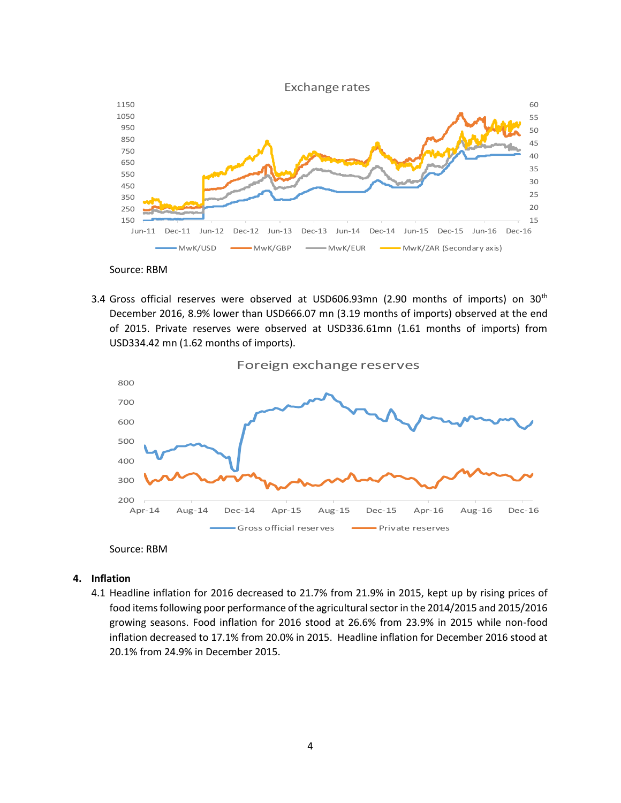

Source: RBM

3.4 Gross official reserves were observed at USD606.93mn (2.90 months of imports) on  $30<sup>th</sup>$ December 2016, 8.9% lower than USD666.07 mn (3.19 months of imports) observed at the end of 2015. Private reserves were observed at USD336.61mn (1.61 months of imports) from USD334.42 mn (1.62 months of imports).



Source: RBM

- **4. Inflation** 
	- 4.1 Headline inflation for 2016 decreased to 21.7% from 21.9% in 2015, kept up by rising prices of food items following poor performance of the agricultural sector in the 2014/2015 and 2015/2016 growing seasons. Food inflation for 2016 stood at 26.6% from 23.9% in 2015 while non-food inflation decreased to 17.1% from 20.0% in 2015. Headline inflation for December 2016 stood at 20.1% from 24.9% in December 2015.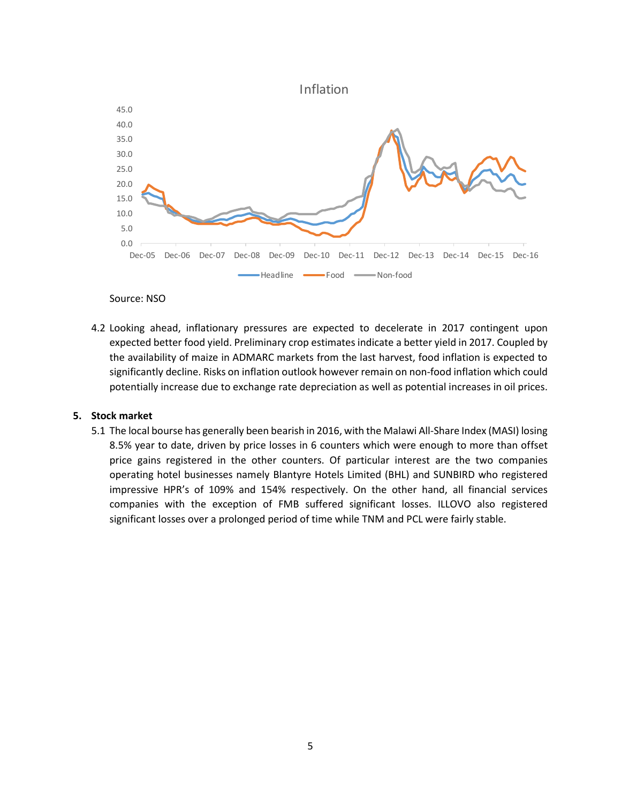



Source: NSO

4.2 Looking ahead, inflationary pressures are expected to decelerate in 2017 contingent upon expected better food yield. Preliminary crop estimates indicate a better yield in 2017. Coupled by the availability of maize in ADMARC markets from the last harvest, food inflation is expected to significantly decline. Risks on inflation outlook however remain on non-food inflation which could potentially increase due to exchange rate depreciation as well as potential increases in oil prices.

### **5. Stock market**

5.1 The local bourse has generally been bearish in 2016, with the Malawi All-Share Index (MASI) losing 8.5% year to date, driven by price losses in 6 counters which were enough to more than offset price gains registered in the other counters. Of particular interest are the two companies operating hotel businesses namely Blantyre Hotels Limited (BHL) and SUNBIRD who registered impressive HPR's of 109% and 154% respectively. On the other hand, all financial services companies with the exception of FMB suffered significant losses. ILLOVO also registered significant losses over a prolonged period of time while TNM and PCL were fairly stable.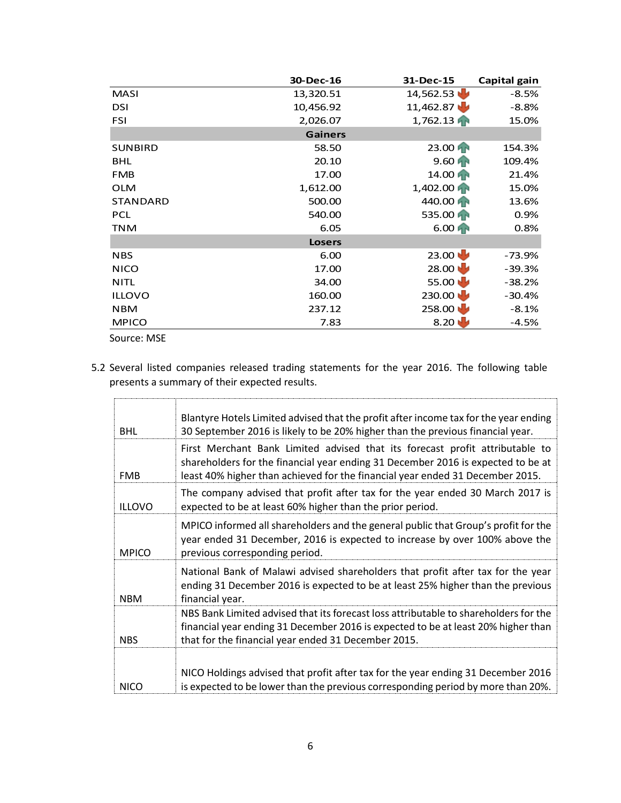|                 | 30-Dec-16      | 31-Dec-15         | Capital gain |
|-----------------|----------------|-------------------|--------------|
| <b>MASI</b>     | 13,320.51      | 14,562.53         | $-8.5%$      |
| <b>DSI</b>      | 10,456.92      | 11,462.87         | $-8.8%$      |
| <b>FSI</b>      | 2,026.07       | 1,762.13          | 15.0%        |
|                 | <b>Gainers</b> |                   |              |
| <b>SUNBIRD</b>  | 58.50          | 23.00             | 154.3%       |
| <b>BHL</b>      | 20.10          | $9.60$ AP         | 109.4%       |
| <b>FMB</b>      | 17.00          | 14.00 FR          | 21.4%        |
| <b>OLM</b>      | 1,612.00       | 1,402.00          | 15.0%        |
| <b>STANDARD</b> | 500.00         | 440.00 PM         | 13.6%        |
| <b>PCL</b>      | 540.00         | 535.00            | 0.9%         |
| <b>TNM</b>      | 6.05           | $6.00$ AP         | 0.8%         |
|                 | <b>Losers</b>  |                   |              |
| <b>NBS</b>      | 6.00           | 23.00             | -73.9%       |
| <b>NICO</b>     | 17.00          | $28.00 \biguplus$ | $-39.3%$     |
| <b>NITL</b>     | 34.00          | 55.00 $\bigcup$   | $-38.2%$     |
| <b>ILLOVO</b>   | 160.00         | 230.00            | $-30.4%$     |
| <b>NBM</b>      | 237.12         | 258.00            | $-8.1%$      |
| <b>MPICO</b>    | 7.83           | 8.20 $\bigcup$    | $-4.5%$      |
| Source: MSE     |                |                   |              |

5.2 Several listed companies released trading statements for the year 2016. The following table presents a summary of their expected results.

| <b>BHL</b>    | Blantyre Hotels Limited advised that the profit after income tax for the year ending<br>30 September 2016 is likely to be 20% higher than the previous financial year.                                                                            |
|---------------|---------------------------------------------------------------------------------------------------------------------------------------------------------------------------------------------------------------------------------------------------|
| <b>FMB</b>    | First Merchant Bank Limited advised that its forecast profit attributable to<br>shareholders for the financial year ending 31 December 2016 is expected to be at<br>least 40% higher than achieved for the financial year ended 31 December 2015. |
| <b>ILLOVO</b> | The company advised that profit after tax for the year ended 30 March 2017 is<br>expected to be at least 60% higher than the prior period.                                                                                                        |
| <b>MPICO</b>  | MPICO informed all shareholders and the general public that Group's profit for the<br>year ended 31 December, 2016 is expected to increase by over 100% above the<br>previous corresponding period.                                               |
| <b>NBM</b>    | National Bank of Malawi advised shareholders that profit after tax for the year<br>ending 31 December 2016 is expected to be at least 25% higher than the previous<br>financial year.                                                             |
| <b>NBS</b>    | NBS Bank Limited advised that its forecast loss attributable to shareholders for the<br>financial year ending 31 December 2016 is expected to be at least 20% higher than<br>that for the financial year ended 31 December 2015.                  |
| <b>NICO</b>   | NICO Holdings advised that profit after tax for the year ending 31 December 2016<br>is expected to be lower than the previous corresponding period by more than 20%.                                                                              |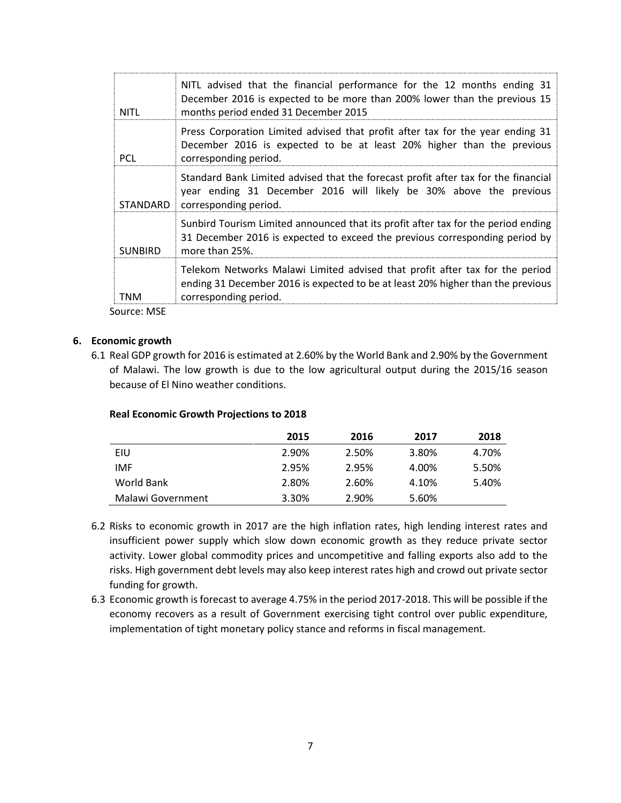| <b>NITL</b>    | NITL advised that the financial performance for the 12 months ending 31<br>December 2016 is expected to be more than 200% lower than the previous 15<br>months period ended 31 December 2015 |
|----------------|----------------------------------------------------------------------------------------------------------------------------------------------------------------------------------------------|
| <b>PCL</b>     | Press Corporation Limited advised that profit after tax for the year ending 31<br>December 2016 is expected to be at least 20% higher than the previous<br>corresponding period.             |
| STANDARD       | Standard Bank Limited advised that the forecast profit after tax for the financial<br>year ending 31 December 2016 will likely be 30% above the previous<br>corresponding period.            |
| <b>SUNBIRD</b> | Sunbird Tourism Limited announced that its profit after tax for the period ending<br>31 December 2016 is expected to exceed the previous corresponding period by<br>more than 25%.           |
| TNM            | Telekom Networks Malawi Limited advised that profit after tax for the period<br>ending 31 December 2016 is expected to be at least 20% higher than the previous<br>corresponding period.     |

Source: MSE

## **6. Economic growth**

6.1 Real GDP growth for 2016 is estimated at 2.60% by the World Bank and 2.90% by the Government of Malawi. The low growth is due to the low agricultural output during the 2015/16 season because of El Nino weather conditions.

### **Real Economic Growth Projections to 2018**

|                   | 2015  | 2016  | 2017  | 2018  |
|-------------------|-------|-------|-------|-------|
| EIU               | 2.90% | 2.50% | 3.80% | 4.70% |
| IMF               | 2.95% | 2.95% | 4.00% | 5.50% |
| World Bank        | 2.80% | 2.60% | 4.10% | 5.40% |
| Malawi Government | 3.30% | 2.90% | 5.60% |       |

- 6.2 Risks to economic growth in 2017 are the high inflation rates, high lending interest rates and insufficient power supply which slow down economic growth as they reduce private sector activity. Lower global commodity prices and uncompetitive and falling exports also add to the risks. High government debt levels may also keep interest rates high and crowd out private sector funding for growth.
- 6.3 Economic growth is forecast to average 4.75% in the period 2017-2018. This will be possible if the economy recovers as a result of Government exercising tight control over public expenditure, implementation of tight monetary policy stance and reforms in fiscal management.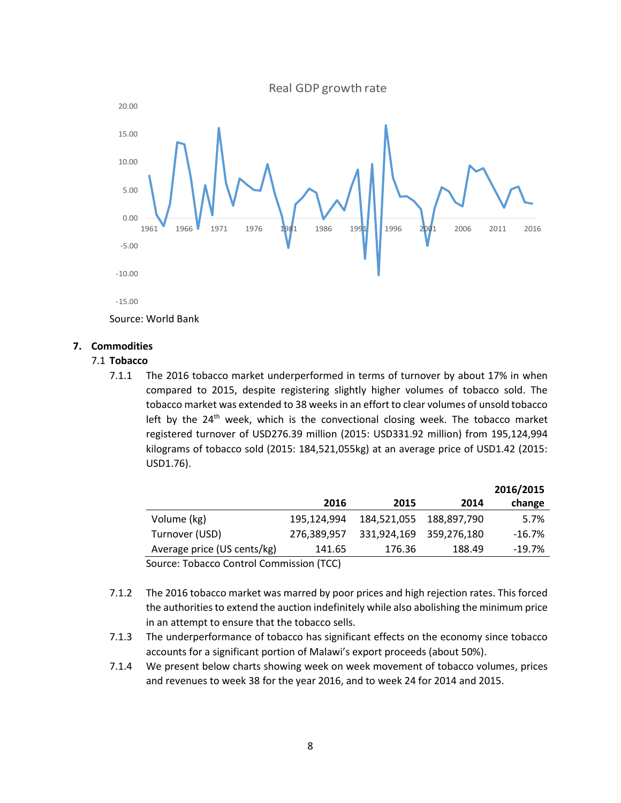Real GDP growth rate



# **7. Commodities**

## 7.1 **Tobacco**

7.1.1 The 2016 tobacco market underperformed in terms of turnover by about 17% in when compared to 2015, despite registering slightly higher volumes of tobacco sold. The tobacco market was extended to 38 weeks in an effort to clear volumes of unsold tobacco left by the  $24<sup>th</sup>$  week, which is the convectional closing week. The tobacco market registered turnover of USD276.39 million (2015: USD331.92 million) from 195,124,994 kilograms of tobacco sold (2015: 184,521,055kg) at an average price of USD1.42 (2015: USD1.76).

|                                          |             |             |                         | 2016/2015 |
|------------------------------------------|-------------|-------------|-------------------------|-----------|
|                                          | 2016        | 2015        | 2014                    | change    |
| Volume (kg)                              | 195,124,994 | 184,521,055 | 188,897,790             | 5.7%      |
| Turnover (USD)                           | 276,389,957 |             | 331,924,169 359,276,180 | $-16.7\%$ |
| Average price (US cents/kg)              | 141.65      | 176.36      | 188.49                  | $-19.7\%$ |
| Source: Tobacco Control Commission (TCC) |             |             |                         |           |

- 7.1.2 The 2016 tobacco market was marred by poor prices and high rejection rates. This forced the authorities to extend the auction indefinitely while also abolishing the minimum price in an attempt to ensure that the tobacco sells.
- 7.1.3 The underperformance of tobacco has significant effects on the economy since tobacco accounts for a significant portion of Malawi's export proceeds (about 50%).
- 7.1.4 We present below charts showing week on week movement of tobacco volumes, prices and revenues to week 38 for the year 2016, and to week 24 for 2014 and 2015.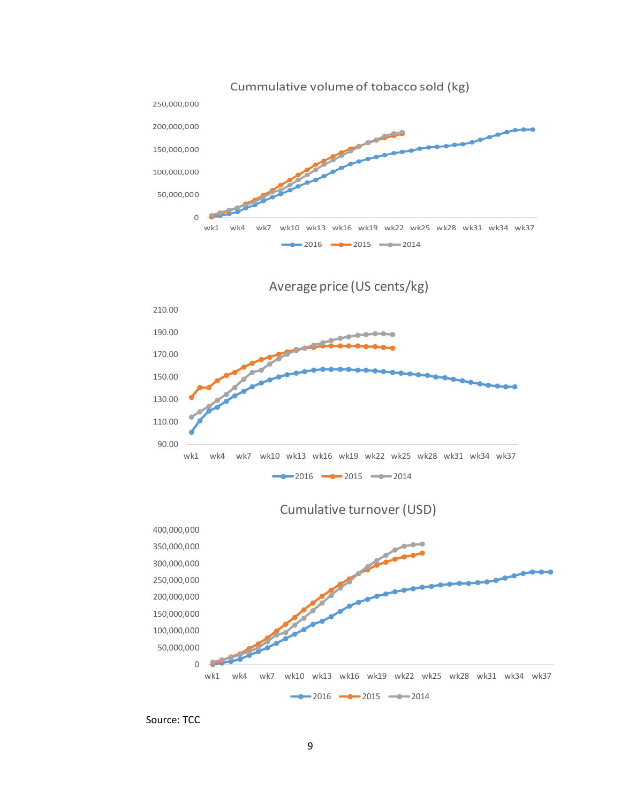

Source: TCC